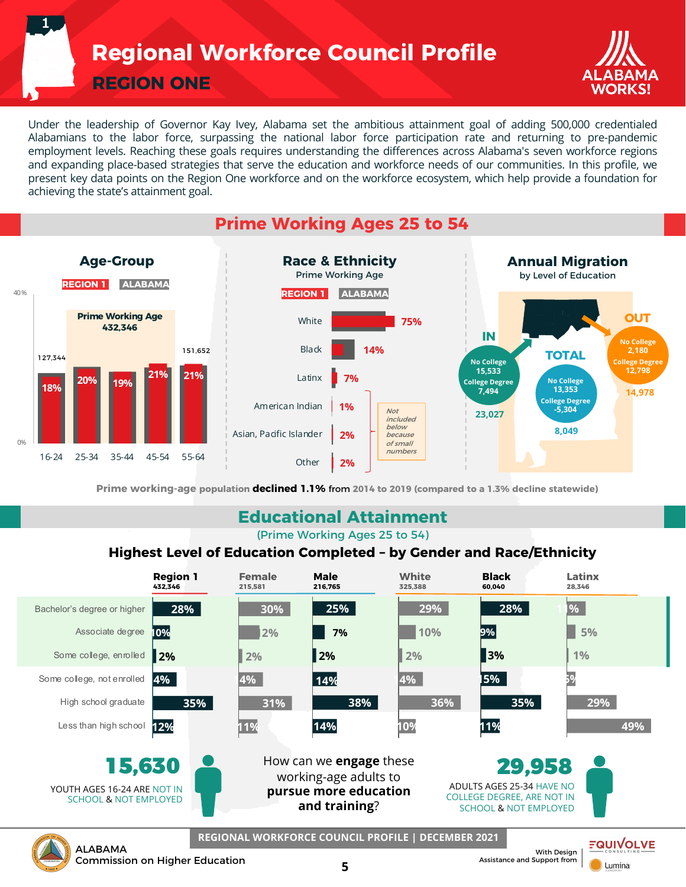**Regional Workforce Council Profile**

**REGION ONE**

**1**



Under the leadership of Governor Kay Ivey, Alabama set the ambitious attainment goal of adding 500,000 credentialed Alabamians to the labor force, surpassing the national labor force participation rate and returning to pre-pandemic employment levels. Reaching these goals requires understanding the differences across Alabama's seven workforce regions and expanding place-based strategies that serve the education and workforce needs of our communities. In this profile, we present key data points on the Region One workforce and on the workforce ecosystem, which help provide a foundation for achieving the state's attainment goal.

## **Prime Working Ages 25 to 54**



**Prime working-age population declined 1.1%** from **2014 to 2019 (compared to a 1.3% decline statewide)**

### **Educational Attainment**

(Prime Working Ages 25 to 54)

#### **Highest Level of Education Completed – by Gender and Race/Ethnicity**

|                                                                                                                                                                                                                                                                                                | <b>Region 1</b><br>432.346 | <b>Female</b><br>215.581 | <b>Male</b><br>216.765                             | <b>White</b><br>325.388 | <b>Black</b><br>60,040 | Latinx<br>28.346 |
|------------------------------------------------------------------------------------------------------------------------------------------------------------------------------------------------------------------------------------------------------------------------------------------------|----------------------------|--------------------------|----------------------------------------------------|-------------------------|------------------------|------------------|
| Bachelor's degree or higher                                                                                                                                                                                                                                                                    | 28%                        | 30%                      | 25%                                                | 29%                     | 28%                    | $\frac{9}{6}$    |
| Associate degree                                                                                                                                                                                                                                                                               | 10%                        | 2%                       | 7%                                                 | 10%                     | 9%                     | 5%               |
| Some college, enrolled                                                                                                                                                                                                                                                                         | 2%                         | 2%                       | 2%                                                 | 2%                      | 3%                     | 1%               |
| Some college, not enrolled                                                                                                                                                                                                                                                                     | 4%                         | 4%                       | 14%                                                | 4%                      | 5%                     |                  |
| High school graduate                                                                                                                                                                                                                                                                           | 35%                        | 31%                      | 38%                                                | 36%                     | 35%                    | 29%              |
| Less than high school                                                                                                                                                                                                                                                                          | 12%                        | 11%                      | 14%                                                | 10%                     | 11%                    | 49%              |
| How can we <b>engage</b> these<br>15,630<br>29,958<br>working-age adults to<br>ADULTS AGES 25-34 HAVE NO<br>YOUTH AGES 16-24 ARE NOT IN<br>pursue more education<br><b>COLLEGE DEGREE, ARE NOT IN</b><br><b>SCHOOL &amp; NOT EMPLOYED</b><br>and training?<br><b>SCHOOL &amp; NOT EMPLOYED</b> |                            |                          |                                                    |                         |                        |                  |
| <b>ALABAMA</b>                                                                                                                                                                                                                                                                                 |                            |                          | REGIONAL WORKFORCE COUNCIL PROFILE   DECEMBER 2021 |                         | With Desian            | FQUIV            |

**5**

Commission on Higher Education

With Design Assistance and Support from

**Lumina**